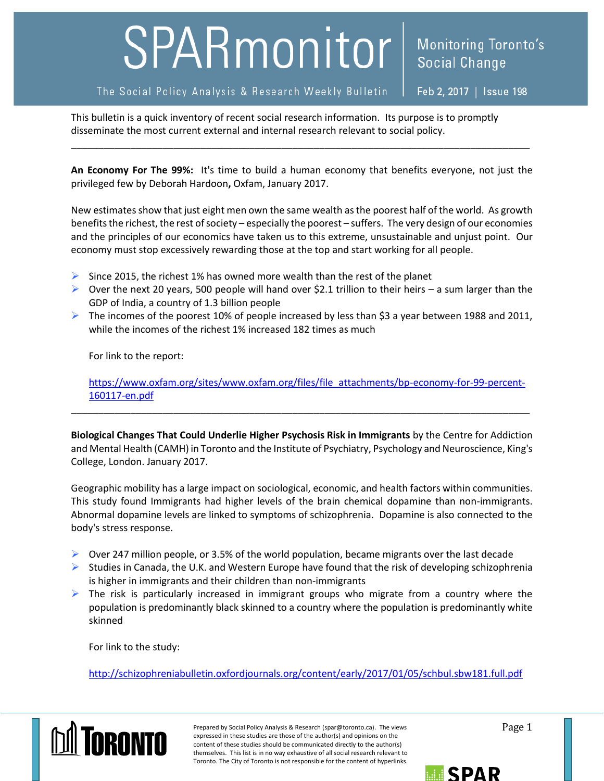## SPARmonitor

## The Social Policy Analysis & Research Weekly Bulletin

Feb 2, 2017 | Issue 198

This bulletin is a quick inventory of recent social research information. Its purpose is to promptly disseminate the most current external and internal research relevant to social policy.

**An Economy For The 99%:** It's time to build a human economy that benefits everyone, not just the privileged few by Deborah Hardoon**,** Oxfam, January 2017.

\_\_\_\_\_\_\_\_\_\_\_\_\_\_\_\_\_\_\_\_\_\_\_\_\_\_\_\_\_\_\_\_\_\_\_\_\_\_\_\_\_\_\_\_\_\_\_\_\_\_\_\_\_\_\_\_\_\_\_\_\_\_\_\_\_\_\_\_\_\_\_\_\_\_\_\_\_\_\_\_\_\_\_\_\_

New estimates show that just eight men own the same wealth as the poorest half of the world. As growth benefits the richest, the rest of society – especially the poorest – suffers. The very design of our economies and the principles of our economics have taken us to this extreme, unsustainable and unjust point. Our economy must stop excessively rewarding those at the top and start working for all people.

- $\triangleright$  Since 2015, the richest 1% has owned more wealth than the rest of the planet
- $\triangleright$  Over the next 20 years, 500 people will hand over \$2.1 trillion to their heirs a sum larger than the GDP of India, a country of 1.3 billion people
- The incomes of the poorest 10% of people increased by less than \$3 a year between 1988 and 2011, while the incomes of the richest 1% increased 182 times as much

For link to the report:

[https://www.oxfam.org/sites/www.oxfam.org/files/file\\_attachments/bp-economy-for-99-percent-](https://www.oxfam.org/sites/www.oxfam.org/files/file_attachments/bp-economy-for-99-percent-160117-en.pdf)[160117-en.pdf](https://www.oxfam.org/sites/www.oxfam.org/files/file_attachments/bp-economy-for-99-percent-160117-en.pdf)

**Biological Changes That Could Underlie Higher Psychosis Risk in Immigrants** by the Centre for Addiction and Mental Health (CAMH) in Toronto and the Institute of Psychiatry, Psychology and Neuroscience, King's College, London. January 2017.

\_\_\_\_\_\_\_\_\_\_\_\_\_\_\_\_\_\_\_\_\_\_\_\_\_\_\_\_\_\_\_\_\_\_\_\_\_\_\_\_\_\_\_\_\_\_\_\_\_\_\_\_\_\_\_\_\_\_\_\_\_\_\_\_\_\_\_\_\_\_\_\_\_\_\_\_\_\_\_\_\_\_\_\_\_

Geographic mobility has a large impact on sociological, economic, and health factors within communities. This study found Immigrants had higher levels of the brain chemical dopamine than non-immigrants. Abnormal dopamine levels are linked to symptoms of schizophrenia. Dopamine is also connected to the body's stress response.

- $\triangleright$  Over 247 million people, or 3.5% of the world population, became migrants over the last decade
- $\triangleright$  Studies in Canada, the U.K. and Western Europe have found that the risk of developing schizophrenia is higher in immigrants and their children than non-immigrants
- $\triangleright$  The risk is particularly increased in immigrant groups who migrate from a country where the population is predominantly black skinned to a country where the population is predominantly white skinned

For link to the study:

<http://schizophreniabulletin.oxfordjournals.org/content/early/2017/01/05/schbul.sbw181.full.pdf>



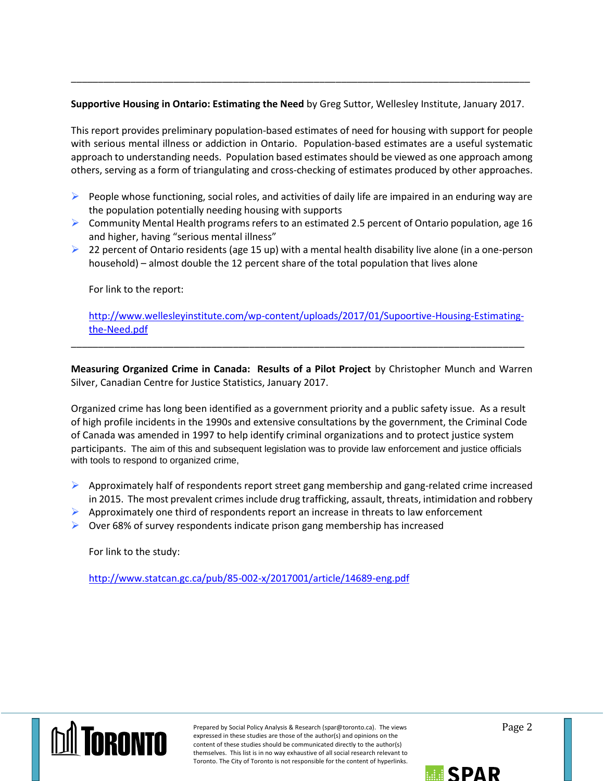## **Supportive Housing in Ontario: Estimating the Need** by Greg Suttor, Wellesley Institute, January 2017.

\_\_\_\_\_\_\_\_\_\_\_\_\_\_\_\_\_\_\_\_\_\_\_\_\_\_\_\_\_\_\_\_\_\_\_\_\_\_\_\_\_\_\_\_\_\_\_\_\_\_\_\_\_\_\_\_\_\_\_\_\_\_\_\_\_\_\_\_\_\_\_\_\_\_\_\_\_\_\_\_\_\_\_\_\_

This report provides preliminary population-based estimates of need for housing with support for people with serious mental illness or addiction in Ontario. Population-based estimates are a useful systematic approach to understanding needs. Population based estimates should be viewed as one approach among others, serving as a form of triangulating and cross-checking of estimates produced by other approaches.

- $\triangleright$  People whose functioning, social roles, and activities of daily life are impaired in an enduring way are the population potentially needing housing with supports
- $\triangleright$  Community Mental Health programs refers to an estimated 2.5 percent of Ontario population, age 16 and higher, having "serious mental illness"
- $\geq 22$  percent of Ontario residents (age 15 up) with a mental health disability live alone (in a one-person household) – almost double the 12 percent share of the total population that lives alone

For link to the report:

[http://www.wellesleyinstitute.com/wp-content/uploads/2017/01/Supoortive-Housing-Estimating](http://www.wellesleyinstitute.com/wp-content/uploads/2017/01/Supoortive-Housing-Estimating-the-Need.pdf)[the-Need.pdf](http://www.wellesleyinstitute.com/wp-content/uploads/2017/01/Supoortive-Housing-Estimating-the-Need.pdf)

**Measuring Organized Crime in Canada: Results of a Pilot Project** by Christopher Munch and Warren Silver, Canadian Centre for Justice Statistics, January 2017.

\_\_\_\_\_\_\_\_\_\_\_\_\_\_\_\_\_\_\_\_\_\_\_\_\_\_\_\_\_\_\_\_\_\_\_\_\_\_\_\_\_\_\_\_\_\_\_\_\_\_\_\_\_\_\_\_\_\_\_\_\_\_\_\_\_\_\_\_\_\_\_\_\_\_\_\_\_\_\_\_\_\_\_\_

Organized crime has long been identified as a government priority and a public safety issue. As a result of high profile incidents in the 1990s and extensive consultations by the government, the Criminal Code of Canada was amended in 1997 to help identify criminal organizations and to protect justice system participants. The aim of this and subsequent legislation was to provide law enforcement and justice officials with tools to respond to organized crime,

- $\triangleright$  Approximately half of respondents report street gang membership and gang-related crime increased in 2015. The most prevalent crimes include drug trafficking, assault, threats, intimidation and robbery
- $\triangleright$  Approximately one third of respondents report an increase in threats to law enforcement
- $\triangleright$  Over 68% of survey respondents indicate prison gang membership has increased

For link to the study:

<http://www.statcan.gc.ca/pub/85-002-x/2017001/article/14689-eng.pdf>



Prepared by Social Policy Analysis & Research (spar@toronto.ca). The views  $Page 2$ expressed in these studies are those of the author(s) and opinions on the content of these studies should be communicated directly to the author(s) themselves. This list is in no way exhaustive of all social research relevant to Toronto. The City of Toronto is not responsible for the content of hyperlinks.